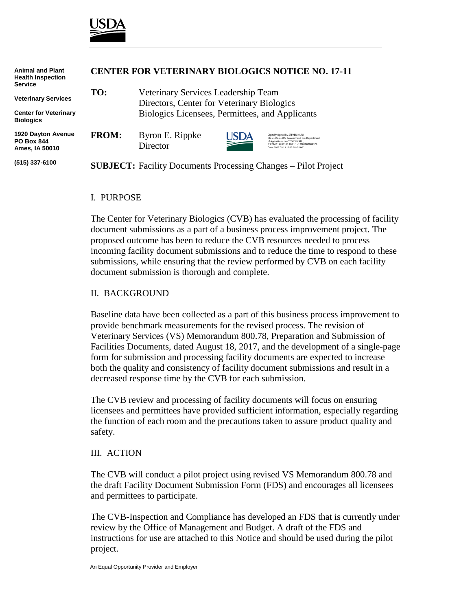

| <b>Animal and Plant</b><br><b>Health Inspection</b><br><b>Service</b> | <b>CENTER FOR VETERINARY BIOLOGICS NOTICE NO. 17-11</b>               |                                                                                                                                      |            |                                                                                                                                                                                                    |
|-----------------------------------------------------------------------|-----------------------------------------------------------------------|--------------------------------------------------------------------------------------------------------------------------------------|------------|----------------------------------------------------------------------------------------------------------------------------------------------------------------------------------------------------|
| <b>Veterinary Services</b>                                            | TO:                                                                   | Veterinary Services Leadership Team<br>Directors, Center for Veterinary Biologics<br>Biologics Licensees, Permittees, and Applicants |            |                                                                                                                                                                                                    |
| <b>Center for Veterinary</b><br><b>Biologics</b>                      |                                                                       |                                                                                                                                      |            |                                                                                                                                                                                                    |
| 1920 Dayton Avenue<br><b>PO Box 844</b><br>Ames. IA 50010             | <b>FROM:</b>                                                          | Byron E. Rippke<br>Director                                                                                                          | <b>SDA</b> | Digitally signed by STEVEN KARLI<br>DN: c=US, o=U.S. Government, ou=Department<br>of Agriculture, cn=STEVEN KARLI.<br>0.9.2342.19200300.100.1.1=12001000004378<br>Date: 2017.09.13 12:15:28 -05'00 |
| (515) 337-6100                                                        | <b>SUBJECT:</b> Facility Documents Processing Changes – Pilot Project |                                                                                                                                      |            |                                                                                                                                                                                                    |

## I. PURPOSE

The Center for Veterinary Biologics (CVB) has evaluated the processing of facility document submissions as a part of a business process improvement project. The proposed outcome has been to reduce the CVB resources needed to process incoming facility document submissions and to reduce the time to respond to these submissions, while ensuring that the review performed by CVB on each facility document submission is thorough and complete.

## II. BACKGROUND

Baseline data have been collected as a part of this business process improvement to provide benchmark measurements for the revised process. The revision of Veterinary Services (VS) Memorandum 800.78, Preparation and Submission of Facilities Documents, dated August 18, 2017, and the development of a single-page form for submission and processing facility documents are expected to increase both the quality and consistency of facility document submissions and result in a decreased response time by the CVB for each submission.

The CVB review and processing of facility documents will focus on ensuring licensees and permittees have provided sufficient information, especially regarding the function of each room and the precautions taken to assure product quality and safety.

#### III. ACTION

The CVB will conduct a pilot project using revised VS Memorandum 800.78 and the draft Facility Document Submission Form (FDS) and encourages all licensees and permittees to participate.

The CVB-Inspection and Compliance has developed an FDS that is currently under review by the Office of Management and Budget. A draft of the FDS and instructions for use are attached to this Notice and should be used during the pilot project.